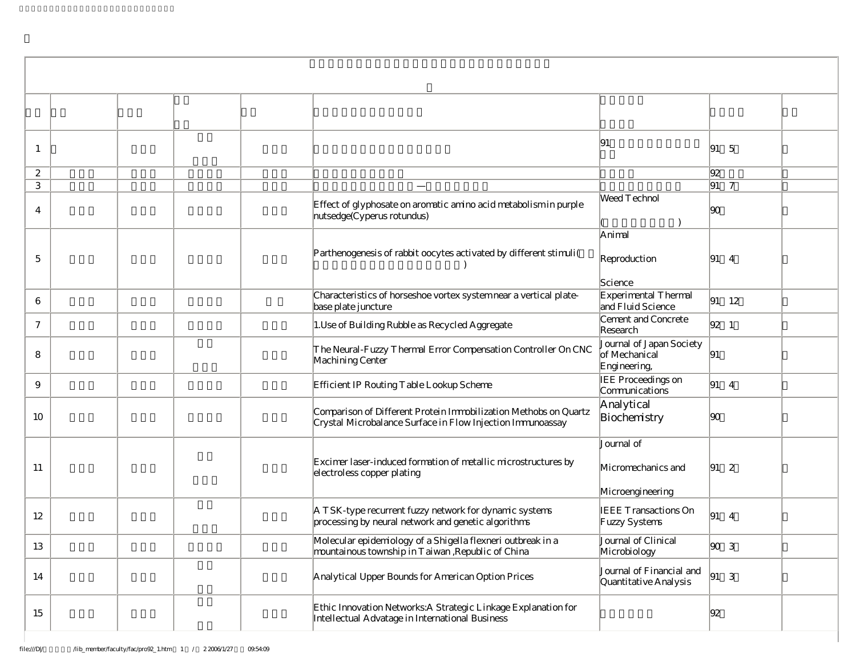| $\overline{1}$ |                                                                                                                                | 191                                                       | $\begin{vmatrix} 91 & 5 \end{vmatrix}$                       |  |
|----------------|--------------------------------------------------------------------------------------------------------------------------------|-----------------------------------------------------------|--------------------------------------------------------------|--|
| 2              |                                                                                                                                |                                                           | 92                                                           |  |
| 3              |                                                                                                                                |                                                           | $91 \overline{7}$                                            |  |
| 4              | Effect of glyphosate on aromatic amino acid metabolism in purple<br>nutsedge(Cyperus rotundus)                                 | Weed Technol                                              | 90                                                           |  |
| 5              | Parthenogenesis of rabbit oocytes activated by different stimuli (                                                             | Animal<br>Reproduction<br>Science                         | $ 91 \t4$                                                    |  |
| 6              | Characteristics of horseshoe vortex systemnear a vertical plate-<br>base plate juncture                                        | Experimental Thermal<br>and Fluid Science                 | $ 91 \t12$                                                   |  |
| $\tau$         | 1. Use of Building Rubble as Recycled Aggregate                                                                                | Cement and Concrete<br>Research                           | $ 92 \t1$                                                    |  |
| 8              | The Neural-Fuzzy Thermal Error Compensation Controller On CNC<br>Machining Center                                              | Journal of Japan Society<br>of Mechanical<br>Engineering, | 91                                                           |  |
| 9              | Efficient IP Routing Table Lookup Scheme                                                                                       | IEE Proceedings on<br>Communications                      | $\begin{vmatrix} 91 & 4 \end{vmatrix}$                       |  |
| 10             | Comparison of Different Protein Immobilization Methobs on Quartz<br>Crystal Microbalance Surface in Flow Injection Immunoassay | Analytical<br>Biochemistry                                | 90                                                           |  |
| 11             | Excimer laser-induced formation of metallic microstructures by<br>electroless copper plating                                   | Journal of<br>Micromechanics and<br>Microengineering      | $\begin{vmatrix} 91 & 2 \end{vmatrix}$                       |  |
| 12             | A TSK-type recurrent fuzzy network for dynamic systems<br>processing by neural network and genetic algorithms                  | <b>IEEE Transactions On</b><br>Fuzzy Systems              | $\begin{vmatrix} 91 & 4 \end{vmatrix}$                       |  |
| 13             | Molecular epidemiology of a Shigella flexneri outbreak in a<br>mountainous township in Taiwan, Republic of China               | Journal of Clinical<br>Microbiology                       | $\begin{array}{ccc} \hline \text{SO} & \text{3} \end{array}$ |  |
| 14             | Analytical Upper Bounds for American Option Prices                                                                             | Journal of Financial and<br>Quantitative Analysis         | $\begin{vmatrix} 91 & 3 \end{vmatrix}$                       |  |
| 15             | Ethic Innovation Networks: A Strategic Linkage Explanation for<br>Intellectual Advatage in International Business              |                                                           | 92                                                           |  |